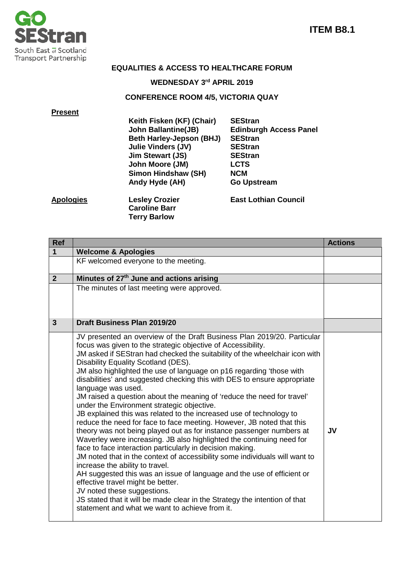

## **EQUALITIES & ACCESS TO HEALTHCARE FORUM**

## **WEDNESDAY 3rd APRIL 2019**

## **CONFERENCE ROOM 4/5, VICTORIA QUAY**

| ent<br>c<br>c |
|---------------|
|               |

**Keith Fisken (KF) (Chair) SEStran Beth Harley-Jepson (BHJ) SEStran Julie Vinders (JV) SEStran Jim Stewart (JS) 6 SEStrange SEStrange SEST**<br> **John Moore (JM) 6 LCTS John Moore (JM) Simon Hindshaw (SH)** NCM<br> **Andy Hyde (AH)** Go Upstream **Andy Hyde (AH)** 

**Edinburgh Access Panel<br>SEStran** 

**Apologies Lesley Crozier Caroline Barr Terry Barlow**

**East Lothian Council**

| <b>Ref</b>     |                                                                                                                                                                                                                                                                                                                                                                                                                                                                                                                                                                                                                                                                                                                                                                                                                                                                                                                                                                                                                                                                                                                                                                                                                                                                                                                               | <b>Actions</b> |
|----------------|-------------------------------------------------------------------------------------------------------------------------------------------------------------------------------------------------------------------------------------------------------------------------------------------------------------------------------------------------------------------------------------------------------------------------------------------------------------------------------------------------------------------------------------------------------------------------------------------------------------------------------------------------------------------------------------------------------------------------------------------------------------------------------------------------------------------------------------------------------------------------------------------------------------------------------------------------------------------------------------------------------------------------------------------------------------------------------------------------------------------------------------------------------------------------------------------------------------------------------------------------------------------------------------------------------------------------------|----------------|
| $\mathbf 1$    | <b>Welcome &amp; Apologies</b>                                                                                                                                                                                                                                                                                                                                                                                                                                                                                                                                                                                                                                                                                                                                                                                                                                                                                                                                                                                                                                                                                                                                                                                                                                                                                                |                |
|                | KF welcomed everyone to the meeting.                                                                                                                                                                                                                                                                                                                                                                                                                                                                                                                                                                                                                                                                                                                                                                                                                                                                                                                                                                                                                                                                                                                                                                                                                                                                                          |                |
| $\overline{2}$ | Minutes of 27 <sup>th</sup> June and actions arising                                                                                                                                                                                                                                                                                                                                                                                                                                                                                                                                                                                                                                                                                                                                                                                                                                                                                                                                                                                                                                                                                                                                                                                                                                                                          |                |
|                | The minutes of last meeting were approved.                                                                                                                                                                                                                                                                                                                                                                                                                                                                                                                                                                                                                                                                                                                                                                                                                                                                                                                                                                                                                                                                                                                                                                                                                                                                                    |                |
| $\mathbf{3}$   | <b>Draft Business Plan 2019/20</b>                                                                                                                                                                                                                                                                                                                                                                                                                                                                                                                                                                                                                                                                                                                                                                                                                                                                                                                                                                                                                                                                                                                                                                                                                                                                                            |                |
|                | JV presented an overview of the Draft Business Plan 2019/20. Particular<br>focus was given to the strategic objective of Accessibility.<br>JM asked if SEStran had checked the suitability of the wheelchair icon with<br>Disability Equality Scotland (DES).<br>JM also highlighted the use of language on p16 regarding 'those with<br>disabilities' and suggested checking this with DES to ensure appropriate<br>language was used.<br>JM raised a question about the meaning of 'reduce the need for travel'<br>under the Environment strategic objective.<br>JB explained this was related to the increased use of technology to<br>reduce the need for face to face meeting. However, JB noted that this<br>theory was not being played out as for instance passenger numbers at<br>Waverley were increasing. JB also highlighted the continuing need for<br>face to face interaction particularly in decision making.<br>JM noted that in the context of accessibility some individuals will want to<br>increase the ability to travel.<br>AH suggested this was an issue of language and the use of efficient or<br>effective travel might be better.<br>JV noted these suggestions.<br>JS stated that it will be made clear in the Strategy the intention of that<br>statement and what we want to achieve from it. | <b>JV</b>      |